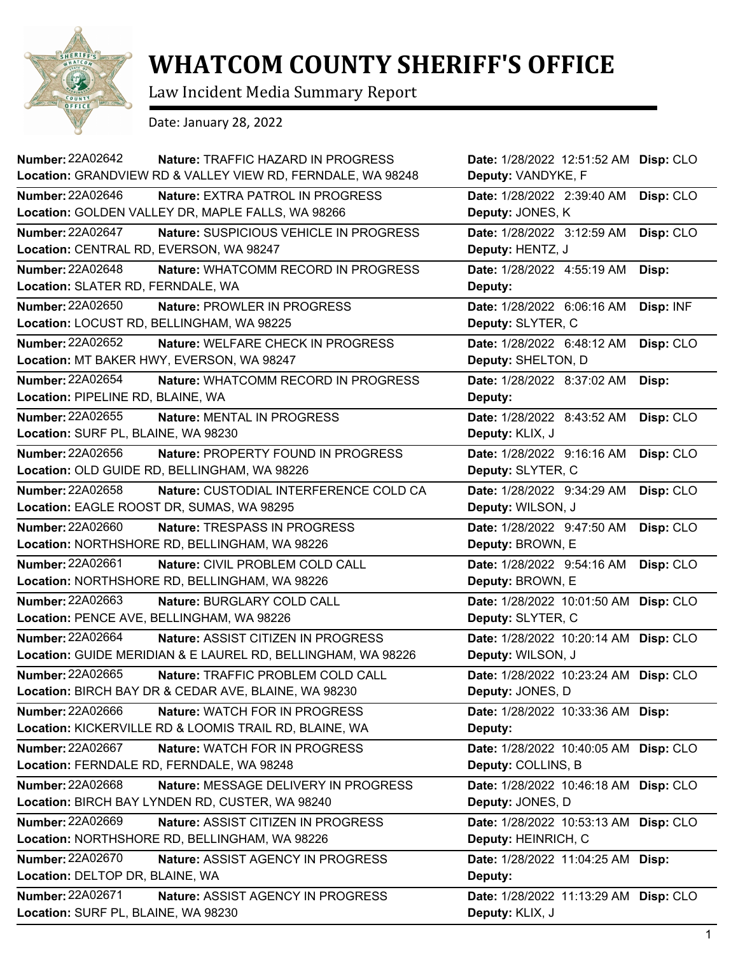

## **WHATCOM COUNTY SHERIFF'S OFFICE**

Law Incident Media Summary Report

Date: January 28, 2022

| <b>Number: 22A02642</b><br>Nature: TRAFFIC HAZARD IN PROGRESS<br>Location: GRANDVIEW RD & VALLEY VIEW RD, FERNDALE, WA 98248 | Date: 1/28/2022 12:51:52 AM<br>Disp: CLO<br>Deputy: VANDYKE, F |
|------------------------------------------------------------------------------------------------------------------------------|----------------------------------------------------------------|
| Number: 22A02646<br><b>Nature: EXTRA PATROL IN PROGRESS</b>                                                                  | Date: 1/28/2022 2:39:40 AM<br>Disp: CLO                        |
| Location: GOLDEN VALLEY DR, MAPLE FALLS, WA 98266                                                                            | Deputy: JONES, K                                               |
| <b>Number: 22A02647</b><br>Nature: SUSPICIOUS VEHICLE IN PROGRESS                                                            | Date: 1/28/2022 3:12:59 AM<br>Disp: CLO                        |
| Location: CENTRAL RD, EVERSON, WA 98247                                                                                      | Deputy: HENTZ, J                                               |
| Number: 22A02648<br>Nature: WHATCOMM RECORD IN PROGRESS                                                                      | Date: 1/28/2022 4:55:19 AM<br>Disp:                            |
| Location: SLATER RD, FERNDALE, WA                                                                                            | Deputy:                                                        |
| Number: 22A02650<br>Nature: PROWLER IN PROGRESS                                                                              | Date: 1/28/2022 6:06:16 AM<br>Disp: INF                        |
| Location: LOCUST RD, BELLINGHAM, WA 98225                                                                                    | Deputy: SLYTER, C                                              |
| Number: 22A02652<br>Nature: WELFARE CHECK IN PROGRESS                                                                        | Date: 1/28/2022 6:48:12 AM<br>Disp: CLO                        |
| Location: MT BAKER HWY, EVERSON, WA 98247                                                                                    | Deputy: SHELTON, D                                             |
| <b>Number: 22A02654</b><br>Nature: WHATCOMM RECORD IN PROGRESS                                                               | Date: 1/28/2022 8:37:02 AM<br>Disp:                            |
| Location: PIPELINE RD, BLAINE, WA                                                                                            | Deputy:                                                        |
| Number: 22A02655<br>Nature: MENTAL IN PROGRESS                                                                               | Disp: CLO<br>Date: 1/28/2022 8:43:52 AM                        |
| Location: SURF PL, BLAINE, WA 98230                                                                                          | Deputy: KLIX, J                                                |
| Number: 22A02656<br>Nature: PROPERTY FOUND IN PROGRESS                                                                       | Disp: CLO<br>Date: 1/28/2022 9:16:16 AM                        |
| Location: OLD GUIDE RD, BELLINGHAM, WA 98226                                                                                 | Deputy: SLYTER, C                                              |
| Number: 22A02658<br>Nature: CUSTODIAL INTERFERENCE COLD CA                                                                   | Date: 1/28/2022 9:34:29 AM<br>Disp: CLO                        |
| Location: EAGLE ROOST DR, SUMAS, WA 98295                                                                                    | Deputy: WILSON, J                                              |
| Number: 22A02660<br><b>Nature: TRESPASS IN PROGRESS</b>                                                                      | Date: 1/28/2022 9:47:50 AM<br>Disp: CLO                        |
| Location: NORTHSHORE RD, BELLINGHAM, WA 98226                                                                                | Deputy: BROWN, E                                               |
| Number: 22A02661<br>Nature: CIVIL PROBLEM COLD CALL                                                                          | Date: 1/28/2022 9:54:16 AM<br>Disp: CLO                        |
| Location: NORTHSHORE RD, BELLINGHAM, WA 98226                                                                                | Deputy: BROWN, E                                               |
| <b>Number: 22A02663</b><br>Nature: BURGLARY COLD CALL                                                                        | Date: 1/28/2022 10:01:50 AM<br>Disp: CLO                       |
| Location: PENCE AVE, BELLINGHAM, WA 98226                                                                                    | Deputy: SLYTER, C                                              |
| Number: 22A02664<br>Nature: ASSIST CITIZEN IN PROGRESS                                                                       | Date: 1/28/2022 10:20:14 AM<br>Disp: CLO                       |
| Location: GUIDE MERIDIAN & E LAUREL RD, BELLINGHAM, WA 98226                                                                 | Deputy: WILSON, J                                              |
| Number: 22A02665<br>Nature: TRAFFIC PROBLEM COLD CALL                                                                        | Date: 1/28/2022 10:23:24 AM Disp: CLO                          |
| Location: BIRCH BAY DR & CEDAR AVE, BLAINE, WA 98230                                                                         | Deputy: JONES, D                                               |
| <b>Number: 22A02666</b><br>Nature: WATCH FOR IN PROGRESS                                                                     | Date: 1/28/2022 10:33:36 AM<br>Disp:                           |
| Location: KICKERVILLE RD & LOOMIS TRAIL RD, BLAINE, WA                                                                       | Deputy:                                                        |
| Number: 22A02667<br>Nature: WATCH FOR IN PROGRESS                                                                            | Date: 1/28/2022 10:40:05 AM<br>Disp: CLO                       |
| Location: FERNDALE RD, FERNDALE, WA 98248                                                                                    | Deputy: COLLINS, B                                             |
| Number: 22A02668<br>Nature: MESSAGE DELIVERY IN PROGRESS                                                                     | Disp: CLO<br>Date: 1/28/2022 10:46:18 AM                       |
| Location: BIRCH BAY LYNDEN RD, CUSTER, WA 98240                                                                              | Deputy: JONES, D                                               |
| <b>Number: 22A02669</b><br>Nature: ASSIST CITIZEN IN PROGRESS                                                                | Date: 1/28/2022 10:53:13 AM<br>Disp: CLO                       |
| Location: NORTHSHORE RD, BELLINGHAM, WA 98226                                                                                | Deputy: HEINRICH, C                                            |
| <b>Number: 22A02670</b><br>Nature: ASSIST AGENCY IN PROGRESS                                                                 | Date: 1/28/2022 11:04:25 AM<br>Disp:                           |
| Location: DELTOP DR, BLAINE, WA                                                                                              | Deputy:                                                        |
| Number: 22A02671<br>Nature: ASSIST AGENCY IN PROGRESS                                                                        | Date: 1/28/2022 11:13:29 AM<br>Disp: CLO                       |
| Location: SURF PL, BLAINE, WA 98230                                                                                          | Deputy: KLIX, J                                                |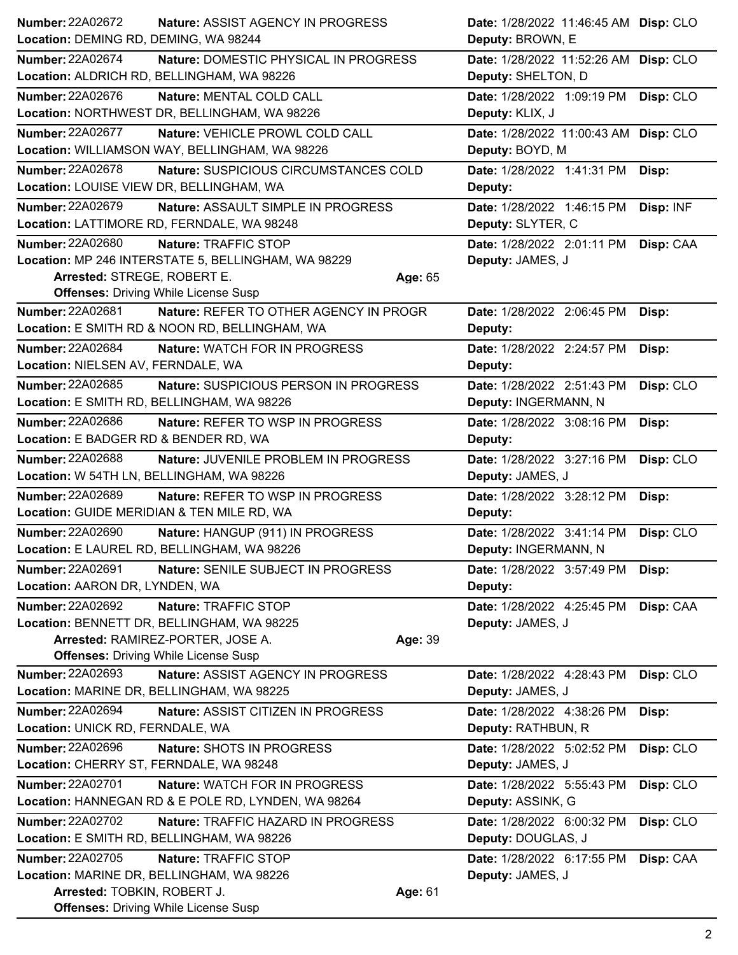| Number: 22A02672<br>Location: DEMING RD, DEMING, WA 98244 | <b>Nature: ASSIST AGENCY IN PROGRESS</b>                                            |         | Date: 1/28/2022 11:46:45 AM Disp: CLO<br>Deputy: BROWN, E   |           |
|-----------------------------------------------------------|-------------------------------------------------------------------------------------|---------|-------------------------------------------------------------|-----------|
|                                                           |                                                                                     |         |                                                             |           |
| <b>Number: 22A02674</b>                                   | Nature: DOMESTIC PHYSICAL IN PROGRESS<br>Location: ALDRICH RD, BELLINGHAM, WA 98226 |         | Date: 1/28/2022 11:52:26 AM Disp: CLO<br>Deputy: SHELTON, D |           |
| Number: 22A02676                                          | Nature: MENTAL COLD CALL                                                            |         | Date: 1/28/2022 1:09:19 PM                                  | Disp: CLO |
|                                                           | Location: NORTHWEST DR, BELLINGHAM, WA 98226                                        |         | Deputy: KLIX, J                                             |           |
| <b>Number: 22A02677</b>                                   | Nature: VEHICLE PROWL COLD CALL<br>Location: WILLIAMSON WAY, BELLINGHAM, WA 98226   |         | Date: 1/28/2022 11:00:43 AM Disp: CLO<br>Deputy: BOYD, M    |           |
| Number: 22A02678                                          | Nature: SUSPICIOUS CIRCUMSTANCES COLD                                               |         | Date: 1/28/2022 1:41:31 PM Disp:                            |           |
| Location: LOUISE VIEW DR, BELLINGHAM, WA                  |                                                                                     |         | Deputy:                                                     |           |
| Number: 22A02679                                          | Nature: ASSAULT SIMPLE IN PROGRESS                                                  |         | Date: 1/28/2022 1:46:15 PM                                  | Disp: INF |
|                                                           | Location: LATTIMORE RD, FERNDALE, WA 98248                                          |         | Deputy: SLYTER, C                                           |           |
| <b>Number: 22A02680</b>                                   | Nature: TRAFFIC STOP                                                                |         | Date: 1/28/2022 2:01:11 PM                                  | Disp: CAA |
|                                                           | Location: MP 246 INTERSTATE 5, BELLINGHAM, WA 98229                                 |         | Deputy: JAMES, J                                            |           |
| Arrested: STREGE, ROBERT E.                               |                                                                                     | Age: 65 |                                                             |           |
|                                                           | <b>Offenses: Driving While License Susp</b>                                         |         |                                                             |           |
| Number: 22A02681                                          | Nature: REFER TO OTHER AGENCY IN PROGR                                              |         | Date: 1/28/2022 2:06:45 PM                                  | Disp:     |
|                                                           | Location: E SMITH RD & NOON RD, BELLINGHAM, WA                                      |         | Deputy:                                                     |           |
| <b>Number: 22A02684</b>                                   | Nature: WATCH FOR IN PROGRESS                                                       |         | Date: 1/28/2022 2:24:57 PM                                  | Disp:     |
| Location: NIELSEN AV, FERNDALE, WA                        |                                                                                     |         | Deputy:                                                     |           |
|                                                           |                                                                                     |         |                                                             |           |
| Number: 22A02685                                          | Nature: SUSPICIOUS PERSON IN PROGRESS                                               |         | Date: 1/28/2022 2:51:43 PM                                  | Disp: CLO |
| Location: E SMITH RD, BELLINGHAM, WA 98226                |                                                                                     |         | Deputy: INGERMANN, N                                        |           |
| Number: 22A02686                                          | Nature: REFER TO WSP IN PROGRESS                                                    |         | Date: 1/28/2022 3:08:16 PM                                  | Disp:     |
| Location: E BADGER RD & BENDER RD, WA                     |                                                                                     |         | Deputy:                                                     |           |
| Number: 22A02688                                          | Nature: JUVENILE PROBLEM IN PROGRESS                                                |         | Date: 1/28/2022 3:27:16 PM                                  | Disp: CLO |
| Location: W 54TH LN, BELLINGHAM, WA 98226                 |                                                                                     |         | Deputy: JAMES, J                                            |           |
| Number: 22A02689                                          | Nature: REFER TO WSP IN PROGRESS                                                    |         | Date: 1/28/2022 3:28:12 PM                                  | Disp:     |
| Location: GUIDE MERIDIAN & TEN MILE RD, WA                |                                                                                     |         | Deputy:                                                     |           |
| Number: 22A02690                                          | Nature: HANGUP (911) IN PROGRESS                                                    |         | Date: 1/28/2022 3:41:14 PM                                  | Disp: CLO |
|                                                           | Location: E LAUREL RD, BELLINGHAM, WA 98226                                         |         | Deputy: INGERMANN, N                                        |           |
| <b>Number: 22A02691</b>                                   | Nature: SENILE SUBJECT IN PROGRESS                                                  |         | Date: 1/28/2022 3:57:49 PM                                  | Disp:     |
| Location: AARON DR, LYNDEN, WA                            |                                                                                     |         | Deputy:                                                     |           |
| <b>Number: 22A02692</b>                                   | Nature: TRAFFIC STOP                                                                |         | Date: 1/28/2022 4:25:45 PM                                  | Disp: CAA |
|                                                           | Location: BENNETT DR, BELLINGHAM, WA 98225                                          |         | Deputy: JAMES, J                                            |           |
|                                                           | Arrested: RAMIREZ-PORTER, JOSE A.                                                   | Age: 39 |                                                             |           |
|                                                           | <b>Offenses: Driving While License Susp</b>                                         |         |                                                             |           |
| Number: 22A02693                                          | Nature: ASSIST AGENCY IN PROGRESS                                                   |         | Date: 1/28/2022 4:28:43 PM                                  | Disp: CLO |
| Location: MARINE DR, BELLINGHAM, WA 98225                 |                                                                                     |         | Deputy: JAMES, J                                            |           |
| <b>Number: 22A02694</b>                                   | Nature: ASSIST CITIZEN IN PROGRESS                                                  |         | Date: 1/28/2022 4:38:26 PM                                  | Disp:     |
| Location: UNICK RD, FERNDALE, WA                          |                                                                                     |         | Deputy: RATHBUN, R                                          |           |
| Number: 22A02696                                          | <b>Nature: SHOTS IN PROGRESS</b>                                                    |         | Date: 1/28/2022 5:02:52 PM                                  | Disp: CLO |
| Location: CHERRY ST, FERNDALE, WA 98248                   |                                                                                     |         | Deputy: JAMES, J                                            |           |
| <b>Number: 22A02701</b>                                   | Nature: WATCH FOR IN PROGRESS                                                       |         | Date: 1/28/2022 5:55:43 PM                                  | Disp: CLO |
|                                                           | Location: HANNEGAN RD & E POLE RD, LYNDEN, WA 98264                                 |         | Deputy: ASSINK, G                                           |           |
| <b>Number: 22A02702</b>                                   | Nature: TRAFFIC HAZARD IN PROGRESS                                                  |         | Date: 1/28/2022 6:00:32 PM                                  | Disp: CLO |
| Location: E SMITH RD, BELLINGHAM, WA 98226                |                                                                                     |         | Deputy: DOUGLAS, J                                          |           |
| <b>Number: 22A02705</b>                                   | Nature: TRAFFIC STOP                                                                |         | Date: 1/28/2022 6:17:55 PM                                  | Disp: CAA |
| Location: MARINE DR, BELLINGHAM, WA 98226                 |                                                                                     |         | Deputy: JAMES, J                                            |           |
| Arrested: TOBKIN, ROBERT J.                               |                                                                                     | Age: 61 |                                                             |           |
|                                                           | <b>Offenses: Driving While License Susp</b>                                         |         |                                                             |           |